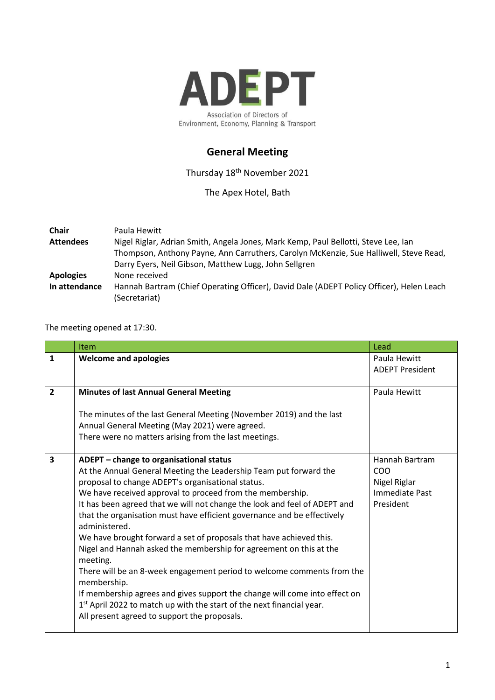

## **General Meeting**

Thursday 18th November 2021

The Apex Hotel, Bath

| <b>Chair</b>     | Paula Hewitt                                                                             |
|------------------|------------------------------------------------------------------------------------------|
| <b>Attendees</b> | Nigel Riglar, Adrian Smith, Angela Jones, Mark Kemp, Paul Bellotti, Steve Lee, Ian       |
|                  | Thompson, Anthony Payne, Ann Carruthers, Carolyn McKenzie, Sue Halliwell, Steve Read,    |
|                  | Darry Eyers, Neil Gibson, Matthew Lugg, John Sellgren                                    |
| <b>Apologies</b> | None received                                                                            |
| In attendance    | Hannah Bartram (Chief Operating Officer), David Dale (ADEPT Policy Officer), Helen Leach |
|                  | (Secretariat)                                                                            |

The meeting opened at 17:30.

|                         | <b>Item</b>                                                                                                                                                     | Lead                   |
|-------------------------|-----------------------------------------------------------------------------------------------------------------------------------------------------------------|------------------------|
| $\mathbf{1}$            | <b>Welcome and apologies</b>                                                                                                                                    | Paula Hewitt           |
|                         |                                                                                                                                                                 | <b>ADEPT President</b> |
| $\overline{2}$          | <b>Minutes of last Annual General Meeting</b>                                                                                                                   | Paula Hewitt           |
|                         |                                                                                                                                                                 |                        |
|                         | The minutes of the last General Meeting (November 2019) and the last                                                                                            |                        |
|                         | Annual General Meeting (May 2021) were agreed.                                                                                                                  |                        |
|                         | There were no matters arising from the last meetings.                                                                                                           |                        |
| $\overline{\mathbf{3}}$ | ADEPT - change to organisational status                                                                                                                         | Hannah Bartram         |
|                         | At the Annual General Meeting the Leadership Team put forward the                                                                                               | C <sub>O</sub> O       |
|                         | proposal to change ADEPT's organisational status.                                                                                                               | Nigel Riglar           |
|                         | We have received approval to proceed from the membership.                                                                                                       | Immediate Past         |
|                         | It has been agreed that we will not change the look and feel of ADEPT and                                                                                       | President              |
|                         | that the organisation must have efficient governance and be effectively<br>administered.                                                                        |                        |
|                         | We have brought forward a set of proposals that have achieved this.                                                                                             |                        |
|                         | Nigel and Hannah asked the membership for agreement on this at the<br>meeting.                                                                                  |                        |
|                         | There will be an 8-week engagement period to welcome comments from the<br>membership.                                                                           |                        |
|                         | If membership agrees and gives support the change will come into effect on<br>1 <sup>st</sup> April 2022 to match up with the start of the next financial year. |                        |
|                         | All present agreed to support the proposals.                                                                                                                    |                        |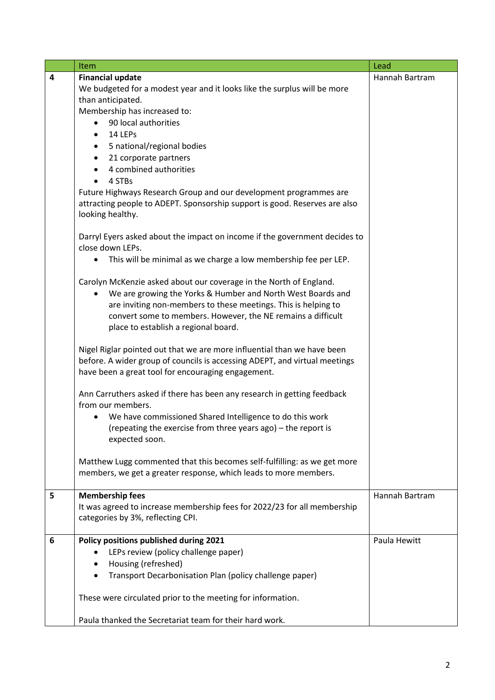|   | Item                                                                                                                                         | Lead           |
|---|----------------------------------------------------------------------------------------------------------------------------------------------|----------------|
| 4 | <b>Financial update</b>                                                                                                                      | Hannah Bartram |
|   | We budgeted for a modest year and it looks like the surplus will be more                                                                     |                |
|   | than anticipated.                                                                                                                            |                |
|   | Membership has increased to:                                                                                                                 |                |
|   | 90 local authorities                                                                                                                         |                |
|   | 14 LEPs                                                                                                                                      |                |
|   | 5 national/regional bodies                                                                                                                   |                |
|   | 21 corporate partners                                                                                                                        |                |
|   | 4 combined authorities                                                                                                                       |                |
|   | 4 STBs<br>$\bullet$                                                                                                                          |                |
|   | Future Highways Research Group and our development programmes are                                                                            |                |
|   | attracting people to ADEPT. Sponsorship support is good. Reserves are also                                                                   |                |
|   | looking healthy.                                                                                                                             |                |
|   |                                                                                                                                              |                |
|   | Darryl Eyers asked about the impact on income if the government decides to                                                                   |                |
|   | close down LEPs.                                                                                                                             |                |
|   | This will be minimal as we charge a low membership fee per LEP.<br>$\bullet$                                                                 |                |
|   | Carolyn McKenzie asked about our coverage in the North of England.                                                                           |                |
|   | We are growing the Yorks & Humber and North West Boards and<br>$\bullet$                                                                     |                |
|   | are inviting non-members to these meetings. This is helping to                                                                               |                |
|   | convert some to members. However, the NE remains a difficult                                                                                 |                |
|   | place to establish a regional board.                                                                                                         |                |
|   |                                                                                                                                              |                |
|   | Nigel Riglar pointed out that we are more influential than we have been                                                                      |                |
|   | before. A wider group of councils is accessing ADEPT, and virtual meetings                                                                   |                |
|   | have been a great tool for encouraging engagement.                                                                                           |                |
|   |                                                                                                                                              |                |
|   | Ann Carruthers asked if there has been any research in getting feedback                                                                      |                |
|   | from our members.                                                                                                                            |                |
|   | We have commissioned Shared Intelligence to do this work                                                                                     |                |
|   | (repeating the exercise from three years ago) - the report is                                                                                |                |
|   | expected soon.                                                                                                                               |                |
|   |                                                                                                                                              |                |
|   | Matthew Lugg commented that this becomes self-fulfilling: as we get more<br>members, we get a greater response, which leads to more members. |                |
|   |                                                                                                                                              |                |
| 5 | <b>Membership fees</b>                                                                                                                       | Hannah Bartram |
|   | It was agreed to increase membership fees for 2022/23 for all membership                                                                     |                |
|   | categories by 3%, reflecting CPI.                                                                                                            |                |
|   |                                                                                                                                              |                |
| 6 | Policy positions published during 2021                                                                                                       | Paula Hewitt   |
|   | LEPs review (policy challenge paper)                                                                                                         |                |
|   | Housing (refreshed)                                                                                                                          |                |
|   | Transport Decarbonisation Plan (policy challenge paper)                                                                                      |                |
|   | These were circulated prior to the meeting for information.                                                                                  |                |
|   |                                                                                                                                              |                |
|   | Paula thanked the Secretariat team for their hard work.                                                                                      |                |